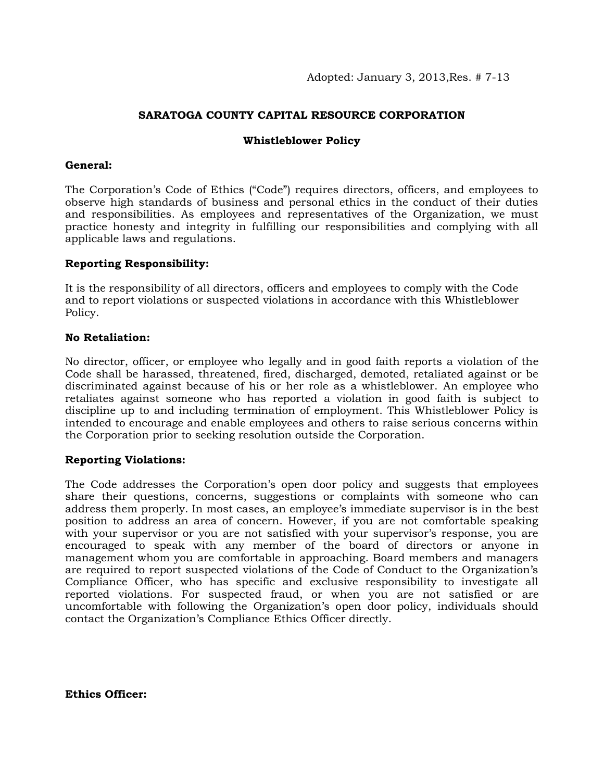# **SARATOGA COUNTY CAPITAL RESOURCE CORPORATION**

### **Whistleblower Policy**

### **General:**

The Corporation's Code of Ethics ("Code") requires directors, officers, and employees to observe high standards of business and personal ethics in the conduct of their duties and responsibilities. As employees and representatives of the Organization, we must practice honesty and integrity in fulfilling our responsibilities and complying with all applicable laws and regulations.

## **Reporting Responsibility:**

It is the responsibility of all directors, officers and employees to comply with the Code and to report violations or suspected violations in accordance with this Whistleblower Policy.

#### **No Retaliation:**

No director, officer, or employee who legally and in good faith reports a violation of the Code shall be harassed, threatened, fired, discharged, demoted, retaliated against or be discriminated against because of his or her role as a whistleblower. An employee who retaliates against someone who has reported a violation in good faith is subject to discipline up to and including termination of employment. This Whistleblower Policy is intended to encourage and enable employees and others to raise serious concerns within the Corporation prior to seeking resolution outside the Corporation.

#### **Reporting Violations:**

The Code addresses the Corporation's open door policy and suggests that employees share their questions, concerns, suggestions or complaints with someone who can address them properly. In most cases, an employee's immediate supervisor is in the best position to address an area of concern. However, if you are not comfortable speaking with your supervisor or you are not satisfied with your supervisor's response, you are encouraged to speak with any member of the board of directors or anyone in management whom you are comfortable in approaching. Board members and managers are required to report suspected violations of the Code of Conduct to the Organization's Compliance Officer, who has specific and exclusive responsibility to investigate all reported violations. For suspected fraud, or when you are not satisfied or are uncomfortable with following the Organization's open door policy, individuals should contact the Organization's Compliance Ethics Officer directly.

**Ethics Officer:**